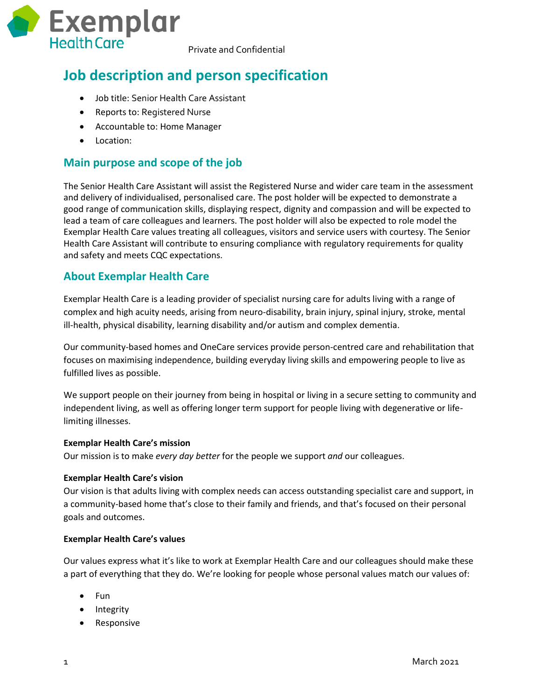

Private and Confidential

# **Job description and person specification**

- Job title: Senior Health Care Assistant
- Reports to: Registered Nurse
- Accountable to: Home Manager
- Location:

### **Main purpose and scope of the job**

The Senior Health Care Assistant will assist the Registered Nurse and wider care team in the assessment and delivery of individualised, personalised care. The post holder will be expected to demonstrate a good range of communication skills, displaying respect, dignity and compassion and will be expected to lead a team of care colleagues and learners. The post holder will also be expected to role model the Exemplar Health Care values treating all colleagues, visitors and service users with courtesy. The Senior Health Care Assistant will contribute to ensuring compliance with regulatory requirements for quality and safety and meets CQC expectations.

#### **About Exemplar Health Care**

Exemplar Health Care is a leading provider of specialist nursing care for adults living with a range of complex and high acuity needs, arising from neuro-disability, brain injury, spinal injury, stroke, mental ill-health, physical disability, learning disability and/or autism and complex dementia.

Our community-based homes and OneCare services provide person-centred care and rehabilitation that focuses on maximising independence, building everyday living skills and empowering people to live as fulfilled lives as possible.

We support people on their journey from being in hospital or living in a secure setting to community and independent living, as well as offering longer term support for people living with degenerative or lifelimiting illnesses.

#### **Exemplar Health Care's mission**

Our mission is to make *every day better* for the people we support *and* our colleagues.

#### **Exemplar Health Care's vision**

Our vision is that adults living with complex needs can access outstanding specialist care and support, in a community-based home that's close to their family and friends, and that's focused on their personal goals and outcomes.

#### **Exemplar Health Care's values**

Our values express what it's like to work at Exemplar Health Care and our colleagues should make these a part of everything that they do. We're looking for people whose personal values match our values of:

- Fun
- Integrity
- Responsive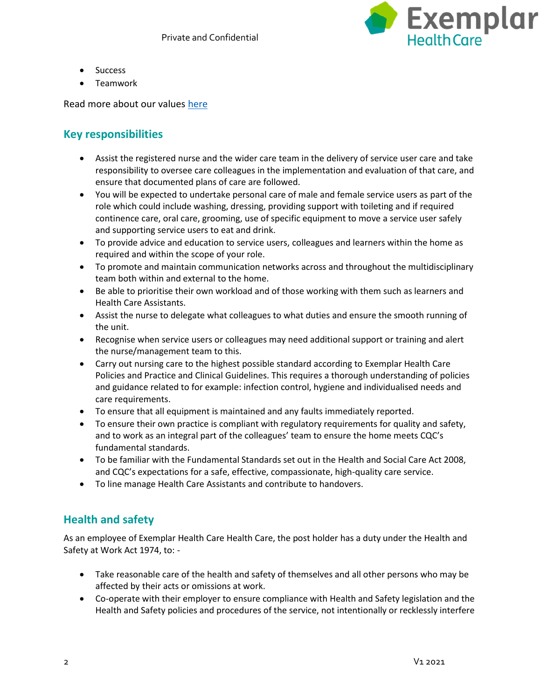

- Success
- Teamwork

Read more about our values [here](https://www.exemplarhc.com/about-us/our-values)

## **Key responsibilities**

- Assist the registered nurse and the wider care team in the delivery of service user care and take responsibility to oversee care colleagues in the implementation and evaluation of that care, and ensure that documented plans of care are followed.
- You will be expected to undertake personal care of male and female service users as part of the role which could include washing, dressing, providing support with toileting and if required continence care, oral care, grooming, use of specific equipment to move a service user safely and supporting service users to eat and drink.
- To provide advice and education to service users, colleagues and learners within the home as required and within the scope of your role.
- To promote and maintain communication networks across and throughout the multidisciplinary team both within and external to the home.
- Be able to prioritise their own workload and of those working with them such as learners and Health Care Assistants.
- Assist the nurse to delegate what colleagues to what duties and ensure the smooth running of the unit.
- Recognise when service users or colleagues may need additional support or training and alert the nurse/management team to this.
- Carry out nursing care to the highest possible standard according to Exemplar Health Care Policies and Practice and Clinical Guidelines. This requires a thorough understanding of policies and guidance related to for example: infection control, hygiene and individualised needs and care requirements.
- To ensure that all equipment is maintained and any faults immediately reported.
- To ensure their own practice is compliant with regulatory requirements for quality and safety, and to work as an integral part of the colleagues' team to ensure the home meets CQC's fundamental standards.
- To be familiar with the Fundamental Standards set out in the Health and Social Care Act 2008, and CQC's expectations for a safe, effective, compassionate, high-quality care service.
- To line manage Health Care Assistants and contribute to handovers.

# **Health and safety**

As an employee of Exemplar Health Care Health Care, the post holder has a duty under the Health and Safety at Work Act 1974, to: -

- Take reasonable care of the health and safety of themselves and all other persons who may be affected by their acts or omissions at work.
- Co-operate with their employer to ensure compliance with Health and Safety legislation and the Health and Safety policies and procedures of the service, not intentionally or recklessly interfere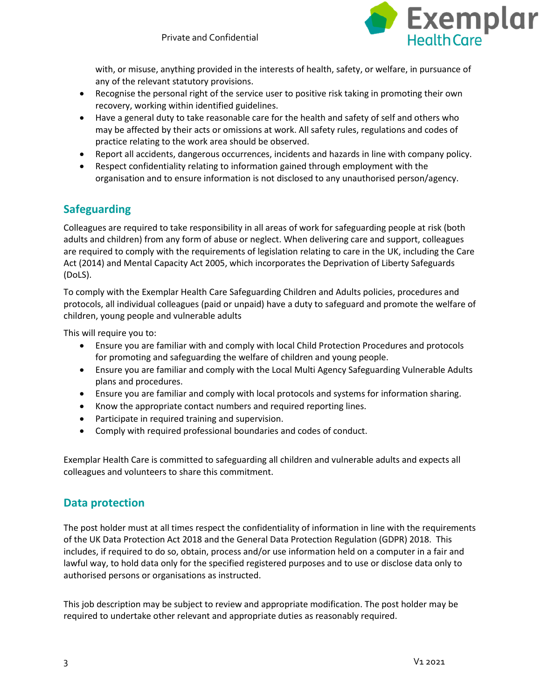

with, or misuse, anything provided in the interests of health, safety, or welfare, in pursuance of any of the relevant statutory provisions.

- Recognise the personal right of the service user to positive risk taking in promoting their own recovery, working within identified guidelines.
- Have a general duty to take reasonable care for the health and safety of self and others who may be affected by their acts or omissions at work. All safety rules, regulations and codes of practice relating to the work area should be observed.
- Report all accidents, dangerous occurrences, incidents and hazards in line with company policy.
- Respect confidentiality relating to information gained through employment with the organisation and to ensure information is not disclosed to any unauthorised person/agency.

## **Safeguarding**

Colleagues are required to take responsibility in all areas of work for safeguarding people at risk (both adults and children) from any form of abuse or neglect. When delivering care and support, colleagues are required to comply with the requirements of legislation relating to care in the UK, including the Care Act (2014) and Mental Capacity Act 2005, which incorporates the Deprivation of Liberty Safeguards (DoLS).

To comply with the Exemplar Health Care Safeguarding Children and Adults policies, procedures and protocols, all individual colleagues (paid or unpaid) have a duty to safeguard and promote the welfare of children, young people and vulnerable adults

This will require you to:

- Ensure you are familiar with and comply with local Child Protection Procedures and protocols for promoting and safeguarding the welfare of children and young people.
- Ensure you are familiar and comply with the Local Multi Agency Safeguarding Vulnerable Adults plans and procedures.
- Ensure you are familiar and comply with local protocols and systems for information sharing.
- Know the appropriate contact numbers and required reporting lines.
- Participate in required training and supervision.
- Comply with required professional boundaries and codes of conduct.

Exemplar Health Care is committed to safeguarding all children and vulnerable adults and expects all colleagues and volunteers to share this commitment.

### **Data protection**

The post holder must at all times respect the confidentiality of information in line with the requirements of the UK Data Protection Act 2018 and the General Data Protection Regulation (GDPR) 2018. This includes, if required to do so, obtain, process and/or use information held on a computer in a fair and lawful way, to hold data only for the specified registered purposes and to use or disclose data only to authorised persons or organisations as instructed.

This job description may be subject to review and appropriate modification. The post holder may be required to undertake other relevant and appropriate duties as reasonably required.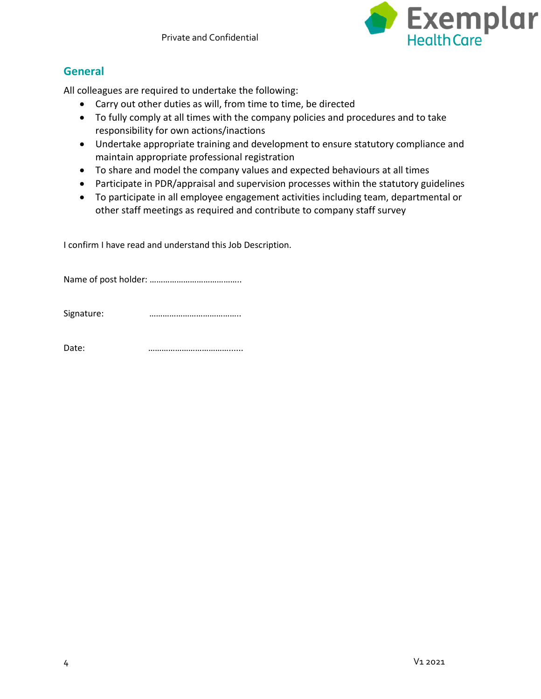

# **General**

All colleagues are required to undertake the following:

- Carry out other duties as will, from time to time, be directed
- To fully comply at all times with the company policies and procedures and to take responsibility for own actions/inactions
- Undertake appropriate training and development to ensure statutory compliance and maintain appropriate professional registration
- To share and model the company values and expected behaviours at all times
- Participate in PDR/appraisal and supervision processes within the statutory guidelines
- To participate in all employee engagement activities including team, departmental or other staff meetings as required and contribute to company staff survey

I confirm I have read and understand this Job Description.

Name of post holder: …………………………………..

Signature: **manufacture: with the manufacture:**  $\cdots$  **manufacture: with the manufacture:**  $\cdots$ 

Date: **manufacturer with the contract of the contract of the contract of the contract of the contract of the contract of the contract of the contract of the contract of the contract of the contract of the contract of the**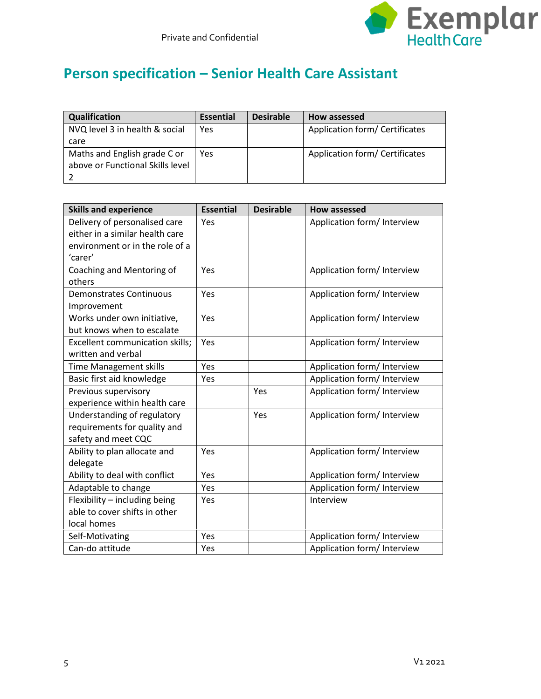

# **Person specification – Senior Health Care Assistant**

| Qualification                    | <b>Essential</b> | <b>Desirable</b> | How assessed                   |
|----------------------------------|------------------|------------------|--------------------------------|
| NVQ level 3 in health & social   | Yes              |                  | Application form/ Certificates |
| care                             |                  |                  |                                |
| Maths and English grade C or     | Yes              |                  | Application form/ Certificates |
| above or Functional Skills level |                  |                  |                                |
|                                  |                  |                  |                                |

| <b>Skills and experience</b>    | <b>Essential</b> | <b>Desirable</b> | <b>How assessed</b>         |
|---------------------------------|------------------|------------------|-----------------------------|
| Delivery of personalised care   | Yes              |                  | Application form/ Interview |
| either in a similar health care |                  |                  |                             |
| environment or in the role of a |                  |                  |                             |
| 'carer'                         |                  |                  |                             |
| Coaching and Mentoring of       | Yes              |                  | Application form/ Interview |
| others                          |                  |                  |                             |
| <b>Demonstrates Continuous</b>  | Yes              |                  | Application form/ Interview |
| Improvement                     |                  |                  |                             |
| Works under own initiative,     | Yes              |                  | Application form/ Interview |
| but knows when to escalate      |                  |                  |                             |
| Excellent communication skills; | Yes              |                  | Application form/ Interview |
| written and verbal              |                  |                  |                             |
| <b>Time Management skills</b>   | Yes              |                  | Application form/ Interview |
| Basic first aid knowledge       | Yes              |                  | Application form/ Interview |
| Previous supervisory            |                  | Yes              | Application form/ Interview |
| experience within health care   |                  |                  |                             |
| Understanding of regulatory     |                  | Yes              | Application form/ Interview |
| requirements for quality and    |                  |                  |                             |
| safety and meet CQC             |                  |                  |                             |
| Ability to plan allocate and    | Yes              |                  | Application form/ Interview |
| delegate                        |                  |                  |                             |
| Ability to deal with conflict   | Yes              |                  | Application form/ Interview |
| Adaptable to change             | Yes              |                  | Application form/ Interview |
| Flexibility - including being   | Yes              |                  | Interview                   |
| able to cover shifts in other   |                  |                  |                             |
| local homes                     |                  |                  |                             |
| Self-Motivating                 | Yes              |                  | Application form/ Interview |
| Can-do attitude                 | Yes              |                  | Application form/ Interview |